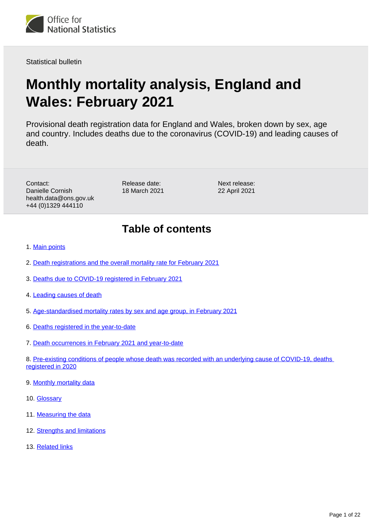

Statistical bulletin

# **Monthly mortality analysis, England and Wales: February 2021**

Provisional death registration data for England and Wales, broken down by sex, age and country. Includes deaths due to the coronavirus (COVID-19) and leading causes of death.

Contact: Danielle Cornish health.data@ons.gov.uk +44 (0)1329 444110

Release date: 18 March 2021

Next release: 22 April 2021

## **Table of contents**

- 1. [Main points](#page-1-0)
- 2. [Death registrations and the overall mortality rate for February 2021](#page-1-1)
- 3. [Deaths due to COVID-19 registered in February 2021](#page-3-0)
- 4. [Leading causes of death](#page-6-0)
- 5. [Age-standardised mortality rates by sex and age group, in February 2021](#page-10-0)
- 6. [Deaths registered in the year-to-date](#page-11-0)
- 7. [Death occurrences in February 2021 and year-to-date](#page-13-0)
- 8. [Pre-existing conditions of people whose death was recorded with an underlying cause of COVID-19, deaths](#page-15-0)  [registered in 2020](#page-15-0)
- 9. [Monthly mortality data](#page-16-0)
- 10. **[Glossary](#page-16-1)**
- 11. [Measuring the data](#page-17-0)
- 12. [Strengths and limitations](#page-20-0)
- 13. [Related links](#page-21-0)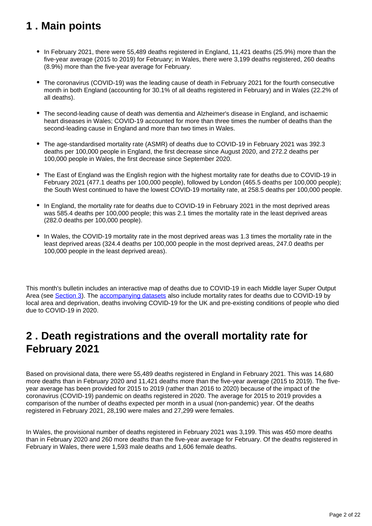## <span id="page-1-0"></span>**1 . Main points**

- In February 2021, there were 55,489 deaths registered in England, 11,421 deaths (25.9%) more than the five-year average (2015 to 2019) for February; in Wales, there were 3,199 deaths registered, 260 deaths (8.9%) more than the five-year average for February.
- The coronavirus (COVID-19) was the leading cause of death in February 2021 for the fourth consecutive month in both England (accounting for 30.1% of all deaths registered in February) and in Wales (22.2% of all deaths).
- The second-leading cause of death was dementia and Alzheimer's disease in England, and ischaemic heart diseases in Wales; COVID-19 accounted for more than three times the number of deaths than the second-leading cause in England and more than two times in Wales.
- The age-standardised mortality rate (ASMR) of deaths due to COVID-19 in February 2021 was 392.3 deaths per 100,000 people in England, the first decrease since August 2020, and 272.2 deaths per 100,000 people in Wales, the first decrease since September 2020.
- The East of England was the English region with the highest mortality rate for deaths due to COVID-19 in February 2021 (477.1 deaths per 100,000 people), followed by London (465.5 deaths per 100,000 people); the South West continued to have the lowest COVID-19 mortality rate, at 258.5 deaths per 100,000 people.
- In England, the mortality rate for deaths due to COVID-19 in February 2021 in the most deprived areas was 585.4 deaths per 100,000 people; this was 2.1 times the mortality rate in the least deprived areas (282.0 deaths per 100,000 people).
- In Wales, the COVID-19 mortality rate in the most deprived areas was 1.3 times the mortality rate in the least deprived areas (324.4 deaths per 100,000 people in the most deprived areas, 247.0 deaths per 100,000 people in the least deprived areas).

This month's bulletin includes an interactive map of deaths due to COVID-19 in each Middle layer Super Output Area (see [Section 3\)](https://www.ons.gov.uk/peoplepopulationandcommunity/birthsdeathsandmarriages/deaths/bulletins/monthlymortalityanalysisenglandandwales/february2021#deaths-due-to-covid-19-registered-in-february-2021). The [accompanying datasets](https://www.ons.gov.uk/peoplepopulationandcommunity/birthsdeathsandmarriages/deaths/bulletins/monthlymortalityanalysisenglandandwales/february2021/relateddata) also include mortality rates for deaths due to COVID-19 by local area and deprivation, deaths involving COVID-19 for the UK and pre-existing conditions of people who died due to COVID-19 in 2020.

## <span id="page-1-1"></span>**2 . Death registrations and the overall mortality rate for February 2021**

Based on provisional data, there were 55,489 deaths registered in England in February 2021. This was 14,680 more deaths than in February 2020 and 11,421 deaths more than the five-year average (2015 to 2019). The fiveyear average has been provided for 2015 to 2019 (rather than 2016 to 2020) because of the impact of the coronavirus (COVID-19) pandemic on deaths registered in 2020. The average for 2015 to 2019 provides a comparison of the number of deaths expected per month in a usual (non-pandemic) year. Of the deaths registered in February 2021, 28,190 were males and 27,299 were females.

In Wales, the provisional number of deaths registered in February 2021 was 3,199. This was 450 more deaths than in February 2020 and 260 more deaths than the five-year average for February. Of the deaths registered in February in Wales, there were 1,593 male deaths and 1,606 female deaths.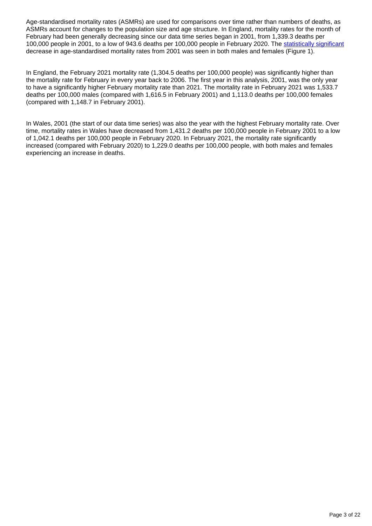Age-standardised mortality rates (ASMRs) are used for comparisons over time rather than numbers of deaths, as ASMRs account for changes to the population size and age structure. In England, mortality rates for the month of February had been generally decreasing since our data time series began in 2001, from 1,339.3 deaths per 100,000 people in 2001, to a low of 943.6 deaths per 100,000 people in February 2020. The [statistically significant](https://www.ons.gov.uk/methodology/methodologytopicsandstatisticalconcepts/uncertaintyandhowwemeasureit#statistical-significance) decrease in age-standardised mortality rates from 2001 was seen in both males and females (Figure 1).

In England, the February 2021 mortality rate (1,304.5 deaths per 100,000 people) was significantly higher than the mortality rate for February in every year back to 2006. The first year in this analysis, 2001, was the only year to have a significantly higher February mortality rate than 2021. The mortality rate in February 2021 was 1,533.7 deaths per 100,000 males (compared with 1,616.5 in February 2001) and 1,113.0 deaths per 100,000 females (compared with 1,148.7 in February 2001).

In Wales, 2001 (the start of our data time series) was also the year with the highest February mortality rate. Over time, mortality rates in Wales have decreased from 1,431.2 deaths per 100,000 people in February 2001 to a low of 1,042.1 deaths per 100,000 people in February 2020. In February 2021, the mortality rate significantly increased (compared with February 2020) to 1,229.0 deaths per 100,000 people, with both males and females experiencing an increase in deaths.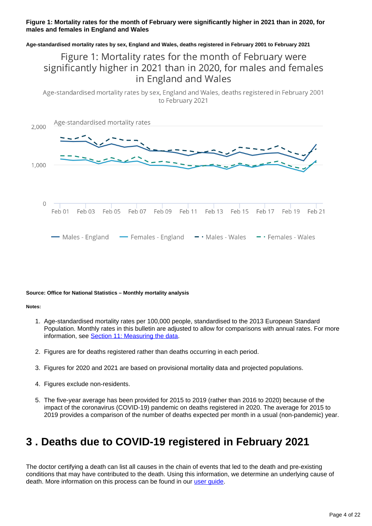#### **Figure 1: Mortality rates for the month of February were significantly higher in 2021 than in 2020, for males and females in England and Wales**

**Age-standardised mortality rates by sex, England and Wales, deaths registered in February 2001 to February 2021**

## Figure 1: Mortality rates for the month of February were significantly higher in 2021 than in 2020, for males and females in England and Wales

Age-standardised mortality rates by sex, England and Wales, deaths registered in February 2001 to February 2021



#### **Source: Office for National Statistics – Monthly mortality analysis**

#### **Notes:**

- 1. Age-standardised mortality rates per 100,000 people, standardised to the 2013 European Standard Population. Monthly rates in this bulletin are adjusted to allow for comparisons with annual rates. For more information, see [Section 11: Measuring the data.](https://www.ons.gov.uk/peoplepopulationandcommunity/birthsdeathsandmarriages/deaths/bulletins/monthlymortalityanalysisenglandandwales/february2021#measuring-the-data)
- 2. Figures are for deaths registered rather than deaths occurring in each period.
- 3. Figures for 2020 and 2021 are based on provisional mortality data and projected populations.
- 4. Figures exclude non-residents.
- 5. The five-year average has been provided for 2015 to 2019 (rather than 2016 to 2020) because of the impact of the coronavirus (COVID-19) pandemic on deaths registered in 2020. The average for 2015 to 2019 provides a comparison of the number of deaths expected per month in a usual (non-pandemic) year.

## <span id="page-3-0"></span>**3 . Deaths due to COVID-19 registered in February 2021**

The doctor certifying a death can list all causes in the chain of events that led to the death and pre-existing conditions that may have contributed to the death. Using this information, we determine an underlying cause of death. More information on this process can be found in our [user guide](https://www.ons.gov.uk/peoplepopulationandcommunity/birthsdeathsandmarriages/deaths/methodologies/userguidetomortalitystatisticsjuly2017).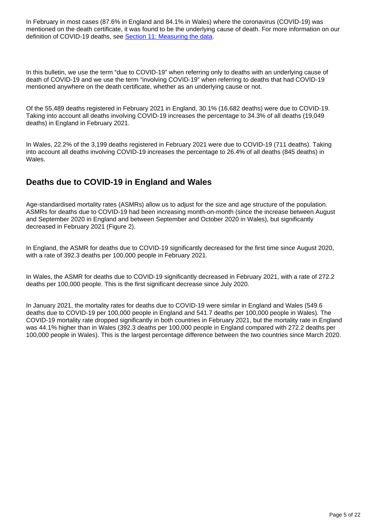In February in most cases (87.6% in England and 84.1% in Wales) where the coronavirus (COVID-19) was mentioned on the death certificate, it was found to be the underlying cause of death. For more information on our definition of COVID-19 deaths, see [Section 11: Measuring the data](https://www.ons.gov.uk/peoplepopulationandcommunity/birthsdeathsandmarriages/deaths/bulletins/monthlymortalityanalysisenglandandwales/february2021#measuring-the-data).

In this bulletin, we use the term "due to COVID-19" when referring only to deaths with an underlying cause of death of COVID-19 and we use the term "involving COVID-19" when referring to deaths that had COVID-19 mentioned anywhere on the death certificate, whether as an underlying cause or not.

Of the 55,489 deaths registered in February 2021 in England, 30.1% (16,682 deaths) were due to COVID-19. Taking into account all deaths involving COVID-19 increases the percentage to 34.3% of all deaths (19,049 deaths) in England in February 2021.

In Wales, 22.2% of the 3,199 deaths registered in February 2021 were due to COVID-19 (711 deaths). Taking into account all deaths involving COVID-19 increases the percentage to 26.4% of all deaths (845 deaths) in Wales.

### **Deaths due to COVID-19 in England and Wales**

Age-standardised mortality rates (ASMRs) allow us to adjust for the size and age structure of the population. ASMRs for deaths due to COVID-19 had been increasing month-on-month (since the increase between August and September 2020 in England and between September and October 2020 in Wales), but significantly decreased in February 2021 (Figure 2).

In England, the ASMR for deaths due to COVID-19 significantly decreased for the first time since August 2020, with a rate of 392.3 deaths per 100,000 people in February 2021.

In Wales, the ASMR for deaths due to COVID-19 significantly decreased in February 2021, with a rate of 272.2 deaths per 100,000 people. This is the first significant decrease since July 2020.

In January 2021, the mortality rates for deaths due to COVID-19 were similar in England and Wales (549.6 deaths due to COVID-19 per 100,000 people in England and 541.7 deaths per 100,000 people in Wales). The COVID-19 mortality rate dropped significantly in both countries in February 2021, but the mortality rate in England was 44.1% higher than in Wales (392.3 deaths per 100,000 people in England compared with 272.2 deaths per 100,000 people in Wales). This is the largest percentage difference between the two countries since March 2020.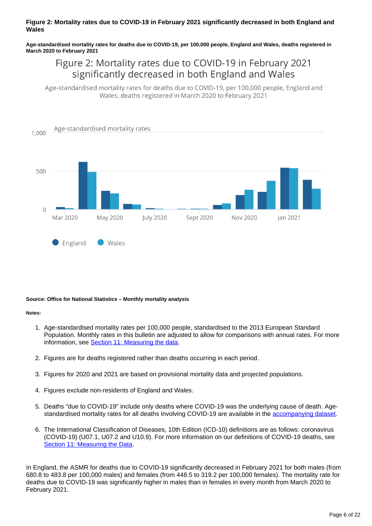#### **Figure 2: Mortality rates due to COVID-19 in February 2021 significantly decreased in both England and Wales**

**Age-standardised mortality rates for deaths due to COVID-19, per 100,000 people, England and Wales, deaths registered in March 2020 to February 2021**

## Figure 2: Mortality rates due to COVID-19 in February 2021 significantly decreased in both England and Wales

Age-standardised mortality rates for deaths due to COVID-19, per 100,000 people, England and Wales, deaths registered in March 2020 to February 2021



#### **Source: Office for National Statistics – Monthly mortality analysis**

#### **Notes:**

- 1. Age-standardised mortality rates per 100,000 people, standardised to the 2013 European Standard Population. Monthly rates in this bulletin are adjusted to allow for comparisons with annual rates. For more information, see [Section 11: Measuring the data.](https://www.ons.gov.uk/peoplepopulationandcommunity/birthsdeathsandmarriages/deaths/bulletins/monthlymortalityanalysisenglandandwales/february2021#measuring-the-data)
- 2. Figures are for deaths registered rather than deaths occurring in each period.
- 3. Figures for 2020 and 2021 are based on provisional mortality data and projected populations.
- 4. Figures exclude non-residents of England and Wales.
- 5. Deaths "due to COVID-19" include only deaths where COVID-19 was the underlying cause of death. Agestandardised mortality rates for all deaths involving COVID-19 are available in the [accompanying dataset.](http://www.ons.gov.uk/peoplepopulationandcommunity/birthsdeathsandmarriages/deaths/datasets/monthlymortalityanalysisenglandandwales)
- 6. The International Classification of Diseases, 10th Edition (ICD-10) definitions are as follows: coronavirus (COVID-19) (U07.1, U07.2 and U10.9). For more information on our definitions of COVID-19 deaths, see [Section 11: Measuring the Data.](https://www.ons.gov.uk/peoplepopulationandcommunity/birthsdeathsandmarriages/deaths/bulletins/monthlymortalityanalysisenglandandwales/february2021#measuring-the-data)

In England, the ASMR for deaths due to COVID-19 significantly decreased in February 2021 for both males (from 680.8 to 483.8 per 100,000 males) and females (from 448.5 to 319.2 per 100,000 females). The mortality rate for deaths due to COVID-19 was significantly higher in males than in females in every month from March 2020 to February 2021.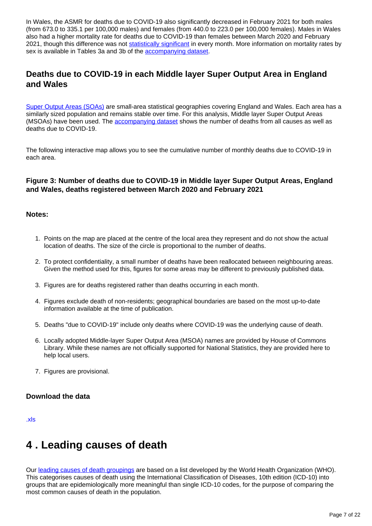In Wales, the ASMR for deaths due to COVID-19 also significantly decreased in February 2021 for both males (from 673.0 to 335.1 per 100,000 males) and females (from 440.0 to 223.0 per 100,000 females). Males in Wales also had a higher mortality rate for deaths due to COVID-19 than females between March 2020 and February 2021, though this difference was not [statistically significant](https://www.ons.gov.uk/methodology/methodologytopicsandstatisticalconcepts/uncertaintyandhowwemeasureit#statistical-significance) in every month. More information on mortality rates by sex is available in Tables 3a and 3b of the [accompanying dataset](https://www.ons.gov.uk/peoplepopulationandcommunity/birthsdeathsandmarriages/deaths/datasets/monthlymortalityanalysisenglandandwales).

### **Deaths due to COVID-19 in each Middle layer Super Output Area in England and Wales**

[Super Output Areas \(SOAs\)](https://www.ons.gov.uk/methodology/geography/ukgeographies/censusgeography#super-output-area-soa) are small-area statistical geographies covering England and Wales. Each area has a similarly sized population and remains stable over time. For this analysis, Middle layer Super Output Areas (MSOAs) have been used. The [accompanying dataset](https://www.ons.gov.uk/peoplepopulationandcommunity/birthsdeathsandmarriages/deaths/datasets/deathsduetocovid19bylocalareaanddeprivation) shows the number of deaths from all causes as well as deaths due to COVID-19.

The following interactive map allows you to see the cumulative number of monthly deaths due to COVID-19 in each area.

#### **Figure 3: Number of deaths due to COVID-19 in Middle layer Super Output Areas, England and Wales, deaths registered between March 2020 and February 2021**

#### **Notes:**

- 1. Points on the map are placed at the centre of the local area they represent and do not show the actual location of deaths. The size of the circle is proportional to the number of deaths.
- 2. To protect confidentiality, a small number of deaths have been reallocated between neighbouring areas. Given the method used for this, figures for some areas may be different to previously published data.
- 3. Figures are for deaths registered rather than deaths occurring in each month.
- 4. Figures exclude death of non-residents; geographical boundaries are based on the most up-to-date information available at the time of publication.
- 5. Deaths "due to COVID-19" include only deaths where COVID-19 was the underlying cause of death.
- 6. Locally adopted Middle-layer Super Output Area (MSOA) names are provided by House of Commons Library. While these names are not officially supported for National Statistics, they are provided here to help local users.
- 7. Figures are provisional.

#### **Download the data**

[.xls](https://www.ons.gov.uk/visualisations/dvc1236/covid-death-map/data/datadownload.xls)

## <span id="page-6-0"></span>**4 . Leading causes of death**

Our [leading causes of death groupings](https://www.ons.gov.uk/peoplepopulationandcommunity/birthsdeathsandmarriages/deaths/methodologies/userguidetomortalitystatistics/leadingcausesofdeathinenglandandwalesrevised2016) are based on a list developed by the World Health Organization (WHO). This categorises causes of death using the International Classification of Diseases, 10th edition (ICD-10) into groups that are epidemiologically more meaningful than single ICD-10 codes, for the purpose of comparing the most common causes of death in the population.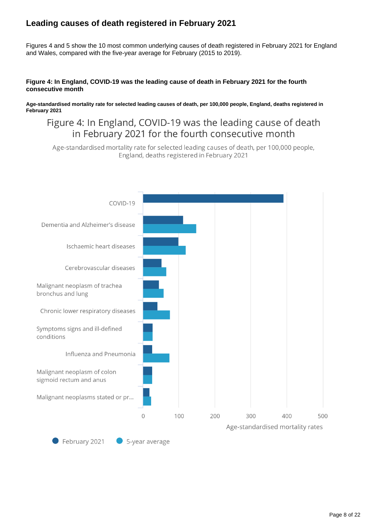## **Leading causes of death registered in February 2021**

Figures 4 and 5 show the 10 most common underlying causes of death registered in February 2021 for England and Wales, compared with the five-year average for February (2015 to 2019).

#### **Figure 4: In England, COVID-19 was the leading cause of death in February 2021 for the fourth consecutive month**

**Age-standardised mortality rate for selected leading causes of death, per 100,000 people, England, deaths registered in February 2021**

## Figure 4: In England, COVID-19 was the leading cause of death in February 2021 for the fourth consecutive month

Age-standardised mortality rate for selected leading causes of death, per 100,000 people, England, deaths registered in February 2021

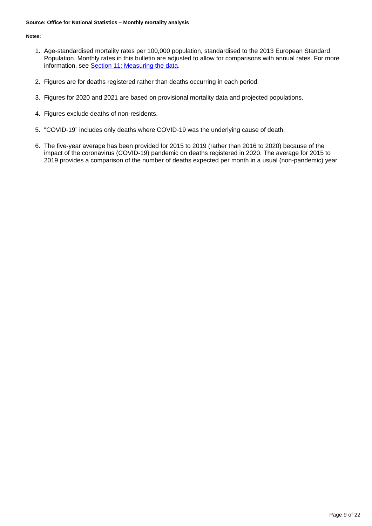#### **Source: Office for National Statistics – Monthly mortality analysis**

#### **Notes:**

- 1. Age-standardised mortality rates per 100,000 population, standardised to the 2013 European Standard Population. Monthly rates in this bulletin are adjusted to allow for comparisons with annual rates. For more information, see [Section 11: Measuring the data.](https://www.ons.gov.uk/peoplepopulationandcommunity/birthsdeathsandmarriages/deaths/bulletins/monthlymortalityanalysisenglandandwales/february2021#measuring-the-data)
- 2. Figures are for deaths registered rather than deaths occurring in each period.
- 3. Figures for 2020 and 2021 are based on provisional mortality data and projected populations.
- 4. Figures exclude deaths of non-residents.
- 5. "COVID-19" includes only deaths where COVID-19 was the underlying cause of death.
- 6. The five-year average has been provided for 2015 to 2019 (rather than 2016 to 2020) because of the impact of the coronavirus (COVID-19) pandemic on deaths registered in 2020. The average for 2015 to 2019 provides a comparison of the number of deaths expected per month in a usual (non-pandemic) year.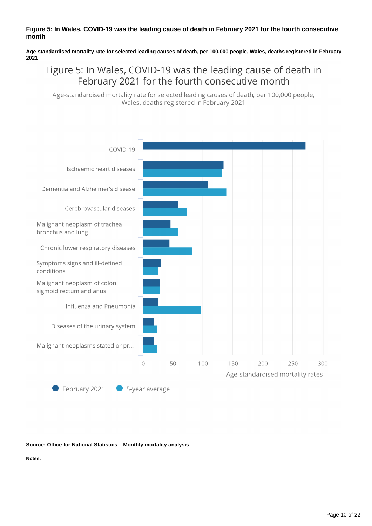#### **Figure 5: In Wales, COVID-19 was the leading cause of death in February 2021 for the fourth consecutive month**

**Age-standardised mortality rate for selected leading causes of death, per 100,000 people, Wales, deaths registered in February 2021**

## Figure 5: In Wales, COVID-19 was the leading cause of death in February 2021 for the fourth consecutive month

Age-standardised mortality rate for selected leading causes of death, per 100,000 people, Wales, deaths registered in February 2021



#### **Source: Office for National Statistics – Monthly mortality analysis**

**Notes:**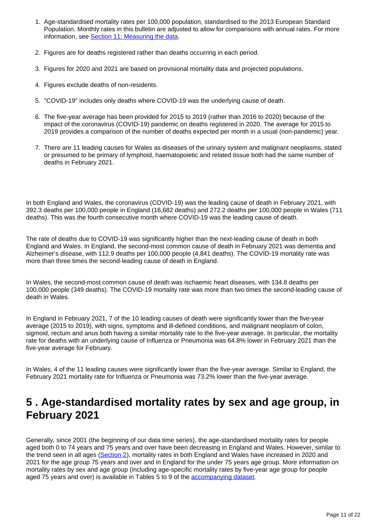- 1. Age-standardised mortality rates per 100,000 population, standardised to the 2013 European Standard Population. Monthly rates in this bulletin are adjusted to allow for comparisons with annual rates. For more information, see [Section 11: Measuring the data.](https://www.ons.gov.uk/peoplepopulationandcommunity/birthsdeathsandmarriages/deaths/bulletins/monthlymortalityanalysisenglandandwales/february2021#measuring-the-data)
- 2. Figures are for deaths registered rather than deaths occurring in each period.
- 3. Figures for 2020 and 2021 are based on provisional mortality data and projected populations.
- 4. Figures exclude deaths of non-residents.
- 5. "COVID-19" includes only deaths where COVID-19 was the underlying cause of death.
- 6. The five-year average has been provided for 2015 to 2019 (rather than 2016 to 2020) because of the impact of the coronavirus (COVID-19) pandemic on deaths registered in 2020. The average for 2015 to 2019 provides a comparison of the number of deaths expected per month in a usual (non-pandemic) year.
- 7. There are 11 leading causes for Wales as diseases of the urinary system and malignant neoplasms, stated or presumed to be primary of lymphoid, haematopoietic and related tissue both had the same number of deaths in February 2021.

In both England and Wales, the coronavirus (COVID-19) was the leading cause of death in February 2021, with 392.3 deaths per 100,000 people in England (16,682 deaths) and 272.2 deaths per 100,000 people in Wales (711 deaths). This was the fourth consecutive month where COVID-19 was the leading cause of death.

The rate of deaths due to COVID-19 was significantly higher than the next-leading cause of death in both England and Wales. In England, the second-most common cause of death in February 2021 was dementia and Alzheimer's disease, with 112.9 deaths per 100,000 people (4,841 deaths). The COVID-19 mortality rate was more than three times the second-leading cause of death in England.

In Wales, the second-most common cause of death was ischaemic heart diseases, with 134.8 deaths per 100,000 people (349 deaths). The COVID-19 mortality rate was more than two times the second-leading cause of death in Wales.

In England in February 2021, 7 of the 10 leading causes of death were significantly lower than the five-year average (2015 to 2019), with signs, symptoms and ill-defined conditions, and malignant neoplasm of colon, sigmoid, rectum and anus both having a similar mortality rate to the five-year average. In particular, the mortality rate for deaths with an underlying cause of Influenza or Pneumonia was 64.8% lower in February 2021 than the five-year average for February.

In Wales, 4 of the 11 leading causes were significantly lower than the five-year average. Similar to England, the February 2021 mortality rate for Influenza or Pneumonia was 73.2% lower than the five-year average.

## <span id="page-10-0"></span>**5 . Age-standardised mortality rates by sex and age group, in February 2021**

Generally, since 2001 (the beginning of our data time series), the age-standardised mortality rates for people aged both 0 to 74 years and 75 years and over have been decreasing in England and Wales. However, similar to the trend seen in all ages ([Section 2\)](https://www.ons.gov.uk/peoplepopulationandcommunity/birthsdeathsandmarriages/deaths/bulletins/monthlymortalityanalysisenglandandwales/february2021#death-registrations-and-the-overall-mortality-rate-for-february-2021), mortality rates in both England and Wales have increased in 2020 and 2021 for the age group 75 years and over and in England for the under 75 years age group. More information on mortality rates by sex and age group (including age-specific mortality rates by five-year age group for people aged 75 years and over) is available in Tables 5 to 9 of the [accompanying dataset](https://www.ons.gov.uk/peoplepopulationandcommunity/birthsdeathsandmarriages/deaths/datasets/monthlymortalityanalysisenglandandwales).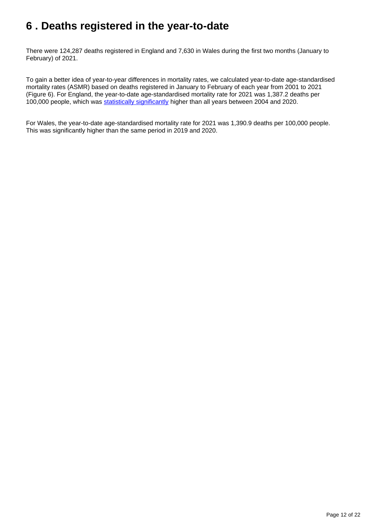## <span id="page-11-0"></span>**6 . Deaths registered in the year-to-date**

There were 124,287 deaths registered in England and 7,630 in Wales during the first two months (January to February) of 2021.

To gain a better idea of year-to-year differences in mortality rates, we calculated year-to-date age-standardised mortality rates (ASMR) based on deaths registered in January to February of each year from 2001 to 2021 (Figure 6). For England, the year-to-date age-standardised mortality rate for 2021 was 1,387.2 deaths per 100,000 people, which was [statistically significantly](https://www.ons.gov.uk/methodology/methodologytopicsandstatisticalconcepts/uncertaintyandhowwemeasureit#statistical-significance) higher than all years between 2004 and 2020.

For Wales, the year-to-date age-standardised mortality rate for 2021 was 1,390.9 deaths per 100,000 people. This was significantly higher than the same period in 2019 and 2020.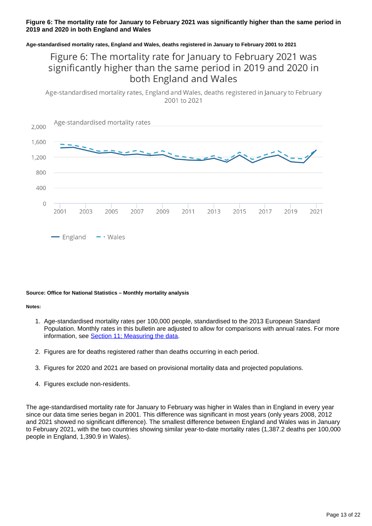#### **Figure 6: The mortality rate for January to February 2021 was significantly higher than the same period in 2019 and 2020 in both England and Wales**

#### **Age-standardised mortality rates, England and Wales, deaths registered in January to February 2001 to 2021**

## Figure 6: The mortality rate for January to February 2021 was significantly higher than the same period in 2019 and 2020 in both England and Wales

Age-standardised mortality rates, England and Wales, deaths registered in January to February 2001 to 2021



#### **Source: Office for National Statistics – Monthly mortality analysis**

#### **Notes:**

- 1. Age-standardised mortality rates per 100,000 people, standardised to the 2013 European Standard Population. Monthly rates in this bulletin are adjusted to allow for comparisons with annual rates. For more information, see [Section 11; Measuring the data.](https://www.ons.gov.uk/peoplepopulationandcommunity/birthsdeathsandmarriages/deaths/bulletins/monthlymortalityanalysisenglandandwales/february2021#measuring-the-data)
- 2. Figures are for deaths registered rather than deaths occurring in each period.
- 3. Figures for 2020 and 2021 are based on provisional mortality data and projected populations.
- 4. Figures exclude non-residents.

The age-standardised mortality rate for January to February was higher in Wales than in England in every year since our data time series began in 2001. This difference was significant in most years (only years 2008, 2012 and 2021 showed no significant difference). The smallest difference between England and Wales was in January to February 2021, with the two countries showing similar year-to-date mortality rates (1,387.2 deaths per 100,000 people in England, 1,390.9 in Wales).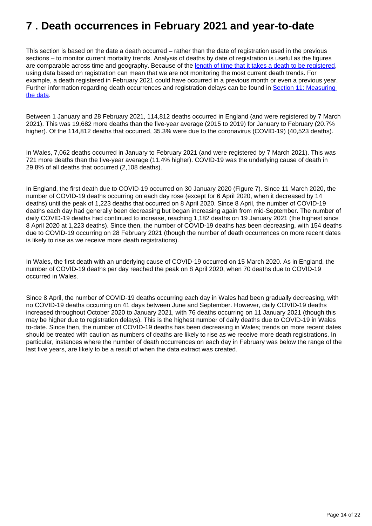## <span id="page-13-0"></span>**7 . Death occurrences in February 2021 and year-to-date**

This section is based on the date a death occurred – rather than the date of registration used in the previous sections – to monitor current mortality trends. Analysis of deaths by date of registration is useful as the figures are comparable across time and geography. Because of the [length of time that it takes a death to be registered](https://www.ons.gov.uk/peoplepopulationandcommunity/birthsdeathsandmarriages/deaths/articles/impactofregistrationdelaysonmortalitystatisticsinenglandandwales/2019), using data based on registration can mean that we are not monitoring the most current death trends. For example, a death registered in February 2021 could have occurred in a previous month or even a previous year. Further information regarding death occurrences and registration delays can be found in Section 11: Measuring [the data](https://www.ons.gov.uk/peoplepopulationandcommunity/birthsdeathsandmarriages/deaths/bulletins/monthlymortalityanalysisenglandandwales/february2021#measuring-the-data).

Between 1 January and 28 February 2021, 114,812 deaths occurred in England (and were registered by 7 March 2021). This was 19,682 more deaths than the five-year average (2015 to 2019) for January to February (20.7% higher). Of the 114,812 deaths that occurred, 35.3% were due to the coronavirus (COVID-19) (40,523 deaths).

In Wales, 7,062 deaths occurred in January to February 2021 (and were registered by 7 March 2021). This was 721 more deaths than the five-year average (11.4% higher). COVID-19 was the underlying cause of death in 29.8% of all deaths that occurred (2,108 deaths).

In England, the first death due to COVID-19 occurred on 30 January 2020 (Figure 7). Since 11 March 2020, the number of COVID-19 deaths occurring on each day rose (except for 6 April 2020, when it decreased by 14 deaths) until the peak of 1,223 deaths that occurred on 8 April 2020. Since 8 April, the number of COVID-19 deaths each day had generally been decreasing but began increasing again from mid-September. The number of daily COVID-19 deaths had continued to increase, reaching 1,182 deaths on 19 January 2021 (the highest since 8 April 2020 at 1,223 deaths). Since then, the number of COVID-19 deaths has been decreasing, with 154 deaths due to COVID-19 occurring on 28 February 2021 (though the number of death occurrences on more recent dates is likely to rise as we receive more death registrations).

In Wales, the first death with an underlying cause of COVID-19 occurred on 15 March 2020. As in England, the number of COVID-19 deaths per day reached the peak on 8 April 2020, when 70 deaths due to COVID-19 occurred in Wales.

Since 8 April, the number of COVID-19 deaths occurring each day in Wales had been gradually decreasing, with no COVID-19 deaths occurring on 41 days between June and September. However, daily COVID-19 deaths increased throughout October 2020 to January 2021, with 76 deaths occurring on 11 January 2021 (though this may be higher due to registration delays). This is the highest number of daily deaths due to COVID-19 in Wales to-date. Since then, the number of COVID-19 deaths has been decreasing in Wales; trends on more recent dates should be treated with caution as numbers of deaths are likely to rise as we receive more death registrations. In particular, instances where the number of death occurrences on each day in February was below the range of the last five years, are likely to be a result of when the data extract was created.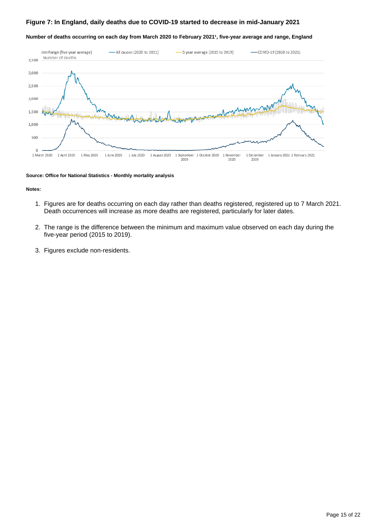#### **Figure 7: In England, daily deaths due to COVID-19 started to decrease in mid-January 2021**

#### Number of deaths occurring on each day from March 2020 to February 2021<sup>1</sup>, five-year average and range, England



#### **Source: Office for National Statistics - Monthly mortality analysis**

#### **Notes:**

- 1. Figures are for deaths occurring on each day rather than deaths registered, registered up to 7 March 2021. Death occurrences will increase as more deaths are registered, particularly for later dates.
- 2. The range is the difference between the minimum and maximum value observed on each day during the five-year period (2015 to 2019).
- 3. Figures exclude non-residents.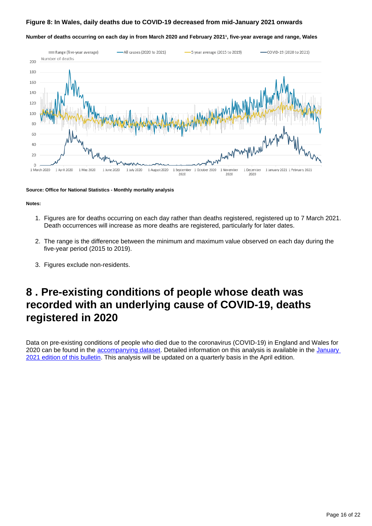#### **Figure 8: In Wales, daily deaths due to COVID-19 decreased from mid-January 2021 onwards**

#### Number of deaths occurring on each day in from March 2020 and February 2021<sup>1</sup>, five-year average and range, Wales



#### **Source: Office for National Statistics - Monthly mortality analysis**

#### **Notes:**

- 1. Figures are for deaths occurring on each day rather than deaths registered, registered up to 7 March 2021. Death occurrences will increase as more deaths are registered, particularly for later dates.
- 2. The range is the difference between the minimum and maximum value observed on each day during the five-year period (2015 to 2019).
- 3. Figures exclude non-residents.

## <span id="page-15-0"></span>**8 . Pre-existing conditions of people whose death was recorded with an underlying cause of COVID-19, deaths registered in 2020**

Data on pre-existing conditions of people who died due to the coronavirus (COVID-19) in England and Wales for 2020 can be found in the [accompanying dataset.](https://www.ons.gov.uk/peoplepopulationandcommunity/birthsdeathsandmarriages/deaths/datasets/preexistingconditionsofpeoplewhodiedduetocovid19englandandwales) Detailed information on this analysis is available in the January [2021 edition of this bulletin](https://www.ons.gov.uk/peoplepopulationandcommunity/birthsdeathsandmarriages/deaths/bulletins/monthlymortalityanalysisenglandandwales/january2021#pre-existing-conditions-of-people-whose-death-was-recorded-with-an-underlying-cause-of-covid-19-deaths-registered-in-2020). This analysis will be updated on a quarterly basis in the April edition.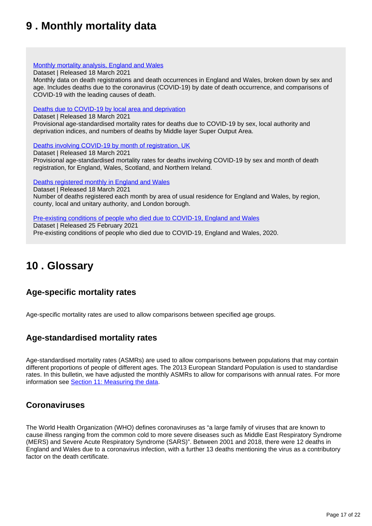## <span id="page-16-0"></span>**9 . Monthly mortality data**

#### [Monthly mortality analysis, England and Wales](https://www.ons.gov.uk/peoplepopulationandcommunity/birthsdeathsandmarriages/deaths/datasets/monthlymortalityanalysisenglandandwales)

Dataset | Released 18 March 2021

Monthly data on death registrations and death occurrences in England and Wales, broken down by sex and age. Includes deaths due to the coronavirus (COVID-19) by date of death occurrence, and comparisons of COVID-19 with the leading causes of death.

#### [Deaths due to COVID-19 by local area and deprivation](https://www.ons.gov.uk/peoplepopulationandcommunity/birthsdeathsandmarriages/deaths/datasets/deathsduetocovid19bylocalareaanddeprivation)

Dataset | Released 18 March 2021

Provisional age-standardised mortality rates for deaths due to COVID-19 by sex, local authority and deprivation indices, and numbers of deaths by Middle layer Super Output Area.

[Deaths involving COVID-19 by month of registration, UK](https://www.ons.gov.uk/peoplepopulationandcommunity/birthsdeathsandmarriages/deaths/datasets/deathsinvolvingcovid19bymonthofregistrationuk)

Dataset | Released 18 March 2021 Provisional age-standardised mortality rates for deaths involving COVID-19 by sex and month of death registration, for England, Wales, Scotland, and Northern Ireland.

[Deaths registered monthly in England and Wales](https://www.ons.gov.uk/peoplepopulationandcommunity/birthsdeathsandmarriages/deaths/datasets/monthlyfiguresondeathsregisteredbyareaofusualresidence)

Dataset | Released 18 March 2021 Number of deaths registered each month by area of usual residence for England and Wales, by region, county, local and unitary authority, and London borough.

[Pre-existing conditions of people who died due to COVID-19, England and Wales](https://www.ons.gov.uk/peoplepopulationandcommunity/birthsdeathsandmarriages/deaths/datasets/preexistingconditionsofpeoplewhodiedduetocovid19englandandwales)

Dataset | Released 25 February 2021 Pre-existing conditions of people who died due to COVID-19, England and Wales, 2020.

## <span id="page-16-1"></span>**10 . Glossary**

### **Age-specific mortality rates**

Age-specific mortality rates are used to allow comparisons between specified age groups.

### **Age-standardised mortality rates**

Age-standardised mortality rates (ASMRs) are used to allow comparisons between populations that may contain different proportions of people of different ages. The 2013 European Standard Population is used to standardise rates. In this bulletin, we have adjusted the monthly ASMRs to allow for comparisons with annual rates. For more information see [Section 11: Measuring the data](https://www.ons.gov.uk/peoplepopulationandcommunity/birthsdeathsandmarriages/deaths/bulletins/monthlymortalityanalysisenglandandwales/february2021#measuring-the-data).

### **Coronaviruses**

The World Health Organization (WHO) defines coronaviruses as "a large family of viruses that are known to cause illness ranging from the common cold to more severe diseases such as Middle East Respiratory Syndrome (MERS) and Severe Acute Respiratory Syndrome (SARS)". Between 2001 and 2018, there were 12 deaths in England and Wales due to a coronavirus infection, with a further 13 deaths mentioning the virus as a contributory factor on the death certificate.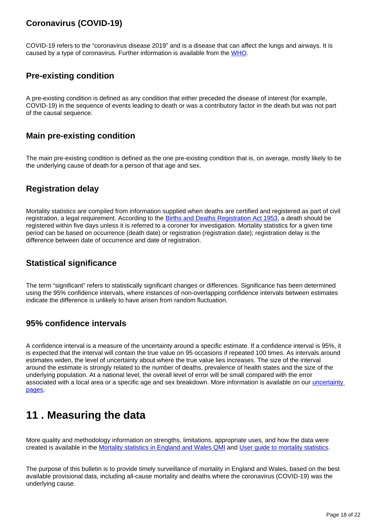## **Coronavirus (COVID-19)**

COVID-19 refers to the "coronavirus disease 2019" and is a disease that can affect the lungs and airways. It is caused by a type of coronavirus. Further information is available from the [WHO.](https://www.who.int/health-topics/coronavirus#tab=tab_1)

### **Pre-existing condition**

A pre-existing condition is defined as any condition that either preceded the disease of interest (for example, COVID-19) in the sequence of events leading to death or was a contributory factor in the death but was not part of the causal sequence.

### **Main pre-existing condition**

The main pre-existing condition is defined as the one pre-existing condition that is, on average, mostly likely to be the underlying cause of death for a person of that age and sex.

### **Registration delay**

Mortality statistics are compiled from information supplied when deaths are certified and registered as part of civil registration, a legal requirement. According to the [Births and Deaths Registration Act 1953](http://www.legislation.gov.uk/ukpga/Eliz2/1-2/20), a death should be registered within five days unless it is referred to a coroner for investigation. Mortality statistics for a given time period can be based on occurrence (death date) or registration (registration date); registration delay is the difference between date of occurrence and date of registration.

### **Statistical significance**

The term "significant" refers to statistically significant changes or differences. Significance has been determined using the 95% confidence intervals, where instances of non-overlapping confidence intervals between estimates indicate the difference is unlikely to have arisen from random fluctuation.

### **95% confidence intervals**

A confidence interval is a measure of the uncertainty around a specific estimate. If a confidence interval is 95%, it is expected that the interval will contain the true value on 95 occasions if repeated 100 times. As intervals around estimates widen, the level of uncertainty about where the true value lies increases. The size of the interval around the estimate is strongly related to the number of deaths, prevalence of health states and the size of the underlying population. At a national level, the overall level of error will be small compared with the error associated with a local area or a specific age and sex breakdown. More information is available on our uncertainty [pages](https://www.ons.gov.uk/methodology/methodologytopicsandstatisticalconcepts/uncertaintyandhowwemeasureit#statistical-significance).

## <span id="page-17-0"></span>**11 . Measuring the data**

More quality and methodology information on strengths, limitations, appropriate uses, and how the data were created is available in the [Mortality statistics in England and Wales QMI](https://www.ons.gov.uk/peoplepopulationandcommunity/birthsdeathsandmarriages/deaths/methodologies/mortalitystatisticsinenglandandwalesqmi) and [User guide to mortality statistics.](https://www.ons.gov.uk/peoplepopulationandcommunity/birthsdeathsandmarriages/deaths/methodologies/userguidetomortalitystatisticsjuly2017)

The purpose of this bulletin is to provide timely surveillance of mortality in England and Wales, based on the best available provisional data, including all-cause mortality and deaths where the coronavirus (COVID-19) was the underlying cause.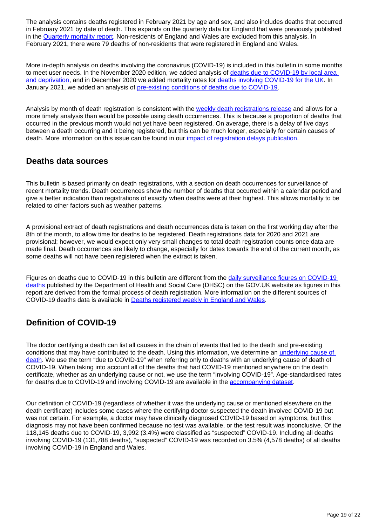The analysis contains deaths registered in February 2021 by age and sex, and also includes deaths that occurred in February 2021 by date of death. This expands on the quarterly data for England that were previously published in the [Quarterly mortality report.](https://www.ons.gov.uk/peoplepopulationandcommunity/birthsdeathsandmarriages/deaths/articles/quarterlymortalityreports/latest) Non-residents of England and Wales are excluded from this analysis. In February 2021, there were 79 deaths of non-residents that were registered in England and Wales.

More in-depth analysis on deaths involving the coronavirus (COVID-19) is included in this bulletin in some months to meet user needs. In the November 2020 edition, we added analysis of [deaths due to COVID-19 by local area](https://www.ons.gov.uk/peoplepopulationandcommunity/birthsdeathsandmarriages/deaths/datasets/deathsduetocovid19bylocalareaanddeprivation)  [and deprivation,](https://www.ons.gov.uk/peoplepopulationandcommunity/birthsdeathsandmarriages/deaths/datasets/deathsduetocovid19bylocalareaanddeprivation) and in December 2020 we added mortality rates for [deaths involving COVID-19 for the UK](https://www.ons.gov.uk/peoplepopulationandcommunity/birthsdeathsandmarriages/deaths/datasets/deathsinvolvingcovid19bymonthofregistrationuk). In January 2021, we added an analysis of [pre-existing conditions of deaths due to COVID-19](https://www.ons.gov.uk/peoplepopulationandcommunity/birthsdeathsandmarriages/deaths/datasets/preexistingconditionsofpeoplewhodiedduetocovid19englandandwales).

Analysis by month of death registration is consistent with the [weekly death registrations release](https://www.ons.gov.uk/peoplepopulationandcommunity/birthsdeathsandmarriages/deaths/bulletins/deathsregisteredweeklyinenglandandwalesprovisional/latest) and allows for a more timely analysis than would be possible using death occurrences. This is because a proportion of deaths that occurred in the previous month would not yet have been registered. On average, there is a delay of five days between a death occurring and it being registered, but this can be much longer, especially for certain causes of death. More information on this issue can be found in our [impact of registration delays publication.](https://www.ons.gov.uk/peoplepopulationandcommunity/birthsdeathsandmarriages/deaths/articles/impactofregistrationdelaysonmortalitystatisticsinenglandandwales/2019)

### **Deaths data sources**

This bulletin is based primarily on death registrations, with a section on death occurrences for surveillance of recent mortality trends. Death occurrences show the number of deaths that occurred within a calendar period and give a better indication than registrations of exactly when deaths were at their highest. This allows mortality to be related to other factors such as weather patterns.

A provisional extract of death registrations and death occurrences data is taken on the first working day after the 8th of the month, to allow time for deaths to be registered. Death registrations data for 2020 and 2021 are provisional; however, we would expect only very small changes to total death registration counts once data are made final. Death occurrences are likely to change, especially for dates towards the end of the current month, as some deaths will not have been registered when the extract is taken.

Figures on deaths due to COVID-19 in this bulletin are different from the daily surveillance figures on COVID-19 [deaths](https://www.gov.uk/guidance/coronavirus-covid-19-information-for-the-public) published by the Department of Health and Social Care (DHSC) on the GOV.UK website as figures in this report are derived from the formal process of death registration. More information on the different sources of COVID-19 deaths data is available in [Deaths registered weekly in England and Wales](https://www.ons.gov.uk/peoplepopulationandcommunity/birthsdeathsandmarriages/deaths/bulletins/deathsregisteredweeklyinenglandandwalesprovisional/latest#measuring-the-data).

## **Definition of COVID-19**

The doctor certifying a death can list all causes in the chain of events that led to the death and pre-existing conditions that may have contributed to the death. Using this information, we determine an [underlying cause of](https://www.ons.gov.uk/peoplepopulationandcommunity/birthsdeathsandmarriages/deaths/methodologies/userguidetomortalitystatisticsjuly2017#cause-of-death-coding)  [death](https://www.ons.gov.uk/peoplepopulationandcommunity/birthsdeathsandmarriages/deaths/methodologies/userguidetomortalitystatisticsjuly2017#cause-of-death-coding). We use the term "due to COVID-19" when referring only to deaths with an underlying cause of death of COVID-19. When taking into account all of the deaths that had COVID-19 mentioned anywhere on the death certificate, whether as an underlying cause or not, we use the term "involving COVID-19". Age-standardised rates for deaths due to COVID-19 and involving COVID-19 are available in the [accompanying dataset.](https://www.ons.gov.uk/peoplepopulationandcommunity/birthsdeathsandmarriages/deaths/datasets/monthlymortalityanalysisenglandandwales)

Our definition of COVID-19 (regardless of whether it was the underlying cause or mentioned elsewhere on the death certificate) includes some cases where the certifying doctor suspected the death involved COVID-19 but was not certain. For example, a doctor may have clinically diagnosed COVID-19 based on symptoms, but this diagnosis may not have been confirmed because no test was available, or the test result was inconclusive. Of the 118,145 deaths due to COVID-19, 3,992 (3.4%) were classified as "suspected" COVID-19. Including all deaths involving COVID-19 (131,788 deaths), "suspected" COVID-19 was recorded on 3.5% (4,578 deaths) of all deaths involving COVID-19 in England and Wales.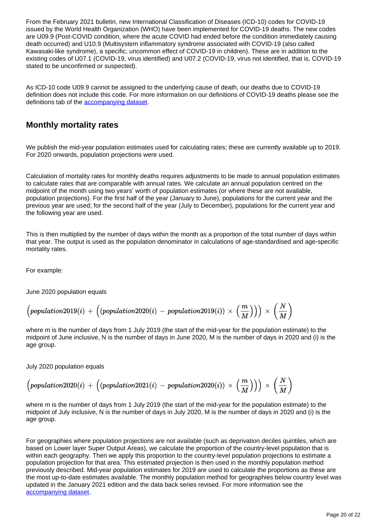From the February 2021 bulletin, new International Classification of Diseases (ICD-10) codes for COVID-19 issued by the World Health Organization (WHO) have been implemented for COVID-19 deaths. The new codes are U09.9 (Post-COVID condition, where the acute COVID had ended before the condition immediately causing death occurred) and U10.9 (Multisystem inflammatory syndrome associated with COVID-19 (also called Kawasaki-like syndrome), a specific, uncommon effect of COVID-19 in children). These are in addition to the existing codes of U07.1 (COVID-19, virus identified) and U07.2 (COVID-19, virus not identified, that is, COVID-19 stated to be unconfirmed or suspected).

As ICD-10 code U09.9 cannot be assigned to the underlying cause of death, our deaths due to COVID-19 definition does not include this code. For more information on our definitions of COVID-19 deaths please see the definitions tab of the [accompanying dataset.](https://www.ons.gov.uk/peoplepopulationandcommunity/birthsdeathsandmarriages/deaths/datasets/monthlymortalityanalysisenglandandwales)

### **Monthly mortality rates**

We publish the mid-year population estimates used for calculating rates; these are currently available up to 2019. For 2020 onwards, population projections were used.

Calculation of mortality rates for monthly deaths requires adjustments to be made to annual population estimates to calculate rates that are comparable with annual rates. We calculate an annual population centred on the midpoint of the month using two years' worth of population estimates (or where these are not available, population projections). For the first half of the year (January to June), populations for the current year and the previous year are used; for the second half of the year (July to December), populations for the current year and the following year are used.

This is then multiplied by the number of days within the month as a proportion of the total number of days within that year. The output is used as the population denominator in calculations of age-standardised and age-specific mortality rates.

For example:

June 2020 population equals

$$
\Big(population 2019(i)\, + \, \Big((population 2020(i)\, - \, population 2019(i))\, \times \, \Big(\frac{m}{M}\Big)\Big)\Big) \, \times \, \Big(\frac{N}{M}\Big)
$$

where m is the number of days from 1 July 2019 (the start of the mid-year for the population estimate) to the midpoint of June inclusive, N is the number of days in June 2020, M is the number of days in 2020 and (i) is the age group.

July 2020 population equals

$$
\Big(population 2020(i)\, + \, \Big((population 2021(i)\, - \, population 2020(i))\, \times \, \Big(\frac{m}{M}\Big)\Big)\Big) \, \times \, \Big(\frac{N}{M}\Big)
$$

where m is the number of days from 1 July 2019 (the start of the mid-year for the population estimate) to the midpoint of July inclusive, N is the number of days in July 2020, M is the number of days in 2020 and (i) is the age group.

For geographies where population projections are not available (such as deprivation deciles quintiles, which are based on Lower layer Super Output Areas), we calculate the proportion of the country-level population that is within each geography. Then we apply this proportion to the country-level population projections to estimate a population projection for that area. This estimated projection is then used in the monthly population method previously described. Mid-year population estimates for 2019 are used to calculate the proportions as these are the most up-to-date estimates available. The monthly population method for geographies below country level was updated in the January 2021 edition and the data back series revised. For more information see the [accompanying dataset.](https://www.ons.gov.uk/peoplepopulationandcommunity/birthsdeathsandmarriages/deaths/datasets/deathsduetocovid19bylocalareaanddeprivation)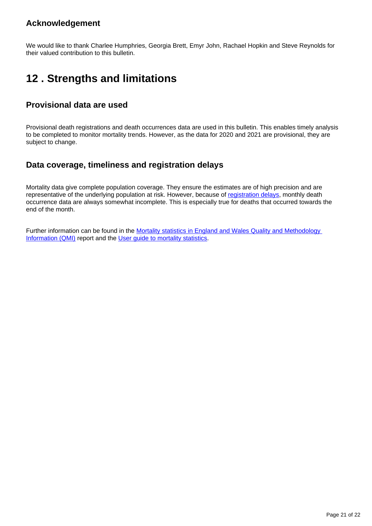### **Acknowledgement**

We would like to thank Charlee Humphries, Georgia Brett, Emyr John, Rachael Hopkin and Steve Reynolds for their valued contribution to this bulletin.

## <span id="page-20-0"></span>**12 . Strengths and limitations**

### **Provisional data are used**

Provisional death registrations and death occurrences data are used in this bulletin. This enables timely analysis to be completed to monitor mortality trends. However, as the data for 2020 and 2021 are provisional, they are subject to change.

### **Data coverage, timeliness and registration delays**

Mortality data give complete population coverage. They ensure the estimates are of high precision and are representative of the underlying population at risk. However, because of [registration delays,](https://www.ons.gov.uk/peoplepopulationandcommunity/birthsdeathsandmarriages/deaths/articles/impactofregistrationdelaysonmortalitystatisticsinenglandandwales/latest) monthly death occurrence data are always somewhat incomplete. This is especially true for deaths that occurred towards the end of the month.

Further information can be found in the Mortality statistics in England and Wales Quality and Methodology [Information \(QMI\)](https://www.ons.gov.uk/peoplepopulationandcommunity/birthsdeathsandmarriages/deaths/methodologies/mortalitystatisticsinenglandandwalesqmi) report and the User quide to mortality statistics.